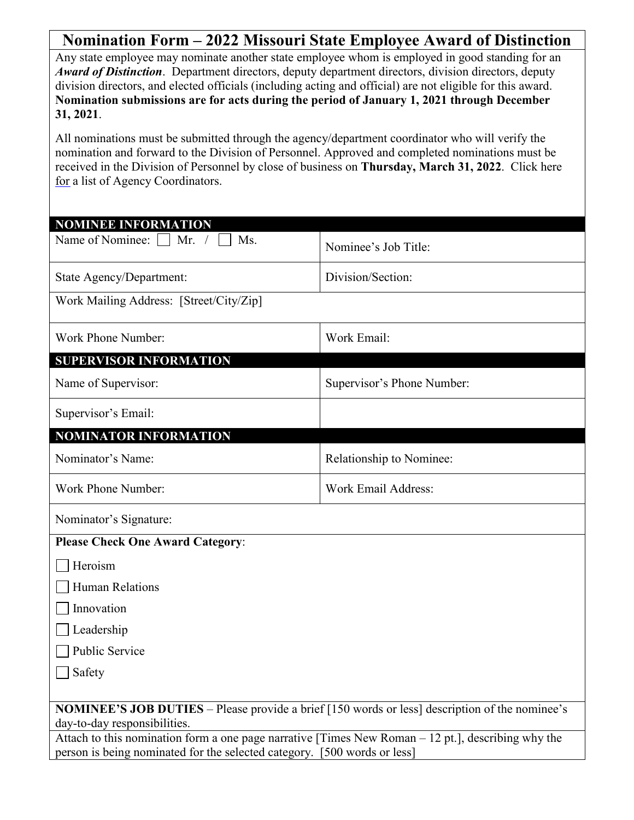| Nomination Form – 2022 Missouri State Employee Award of Distinction                                                                                                                                                                                                                                                                                                                                                            |                            |  |
|--------------------------------------------------------------------------------------------------------------------------------------------------------------------------------------------------------------------------------------------------------------------------------------------------------------------------------------------------------------------------------------------------------------------------------|----------------------------|--|
| Any state employee may nominate another state employee whom is employed in good standing for an<br>Award of Distinction. Department directors, deputy department directors, division directors, deputy<br>division directors, and elected officials (including acting and official) are not eligible for this award.<br>Nomination submissions are for acts during the period of January 1, 2021 through December<br>31, 2021. |                            |  |
| All nominations must be submitted through the agency/department coordinator who will verify the<br>nomination and forward to the Division of Personnel. Approved and completed nominations must be<br>received in the Division of Personnel by close of business on Thursday, March 31, 2022. Click here<br>for a list of Agency Coordinators.                                                                                 |                            |  |
| <b>NOMINEE INFORMATION</b>                                                                                                                                                                                                                                                                                                                                                                                                     |                            |  |
| Name of Nominee: □<br>Mr. $/$<br>Ms.                                                                                                                                                                                                                                                                                                                                                                                           | Nominee's Job Title:       |  |
| State Agency/Department:                                                                                                                                                                                                                                                                                                                                                                                                       | Division/Section:          |  |
| Work Mailing Address: [Street/City/Zip]                                                                                                                                                                                                                                                                                                                                                                                        |                            |  |
| Work Phone Number:                                                                                                                                                                                                                                                                                                                                                                                                             | Work Email:                |  |
| <b>SUPERVISOR INFORMATION</b>                                                                                                                                                                                                                                                                                                                                                                                                  |                            |  |
| Name of Supervisor:                                                                                                                                                                                                                                                                                                                                                                                                            | Supervisor's Phone Number: |  |
| Supervisor's Email:                                                                                                                                                                                                                                                                                                                                                                                                            |                            |  |
| <b>NOMINATOR INFORMATION</b>                                                                                                                                                                                                                                                                                                                                                                                                   |                            |  |
| Nominator's Name:                                                                                                                                                                                                                                                                                                                                                                                                              | Relationship to Nominee:   |  |
| Work Phone Number:                                                                                                                                                                                                                                                                                                                                                                                                             | Work Email Address:        |  |
| Nominator's Signature:                                                                                                                                                                                                                                                                                                                                                                                                         |                            |  |
| <b>Please Check One Award Category:</b>                                                                                                                                                                                                                                                                                                                                                                                        |                            |  |
| Heroism                                                                                                                                                                                                                                                                                                                                                                                                                        |                            |  |
| Human Relations                                                                                                                                                                                                                                                                                                                                                                                                                |                            |  |
| Innovation                                                                                                                                                                                                                                                                                                                                                                                                                     |                            |  |
| Leadership                                                                                                                                                                                                                                                                                                                                                                                                                     |                            |  |
| Public Service                                                                                                                                                                                                                                                                                                                                                                                                                 |                            |  |
| Safety                                                                                                                                                                                                                                                                                                                                                                                                                         |                            |  |
| <b>NOMINEE'S JOB DUTIES</b> – Please provide a brief [150 words or less] description of the nominee's                                                                                                                                                                                                                                                                                                                          |                            |  |
| day-to-day responsibilities.                                                                                                                                                                                                                                                                                                                                                                                                   |                            |  |
| Attach to this nomination form a one page narrative [Times New Roman $-12$ pt.], describing why the                                                                                                                                                                                                                                                                                                                            |                            |  |
| person is being nominated for the selected category. [500 words or less]                                                                                                                                                                                                                                                                                                                                                       |                            |  |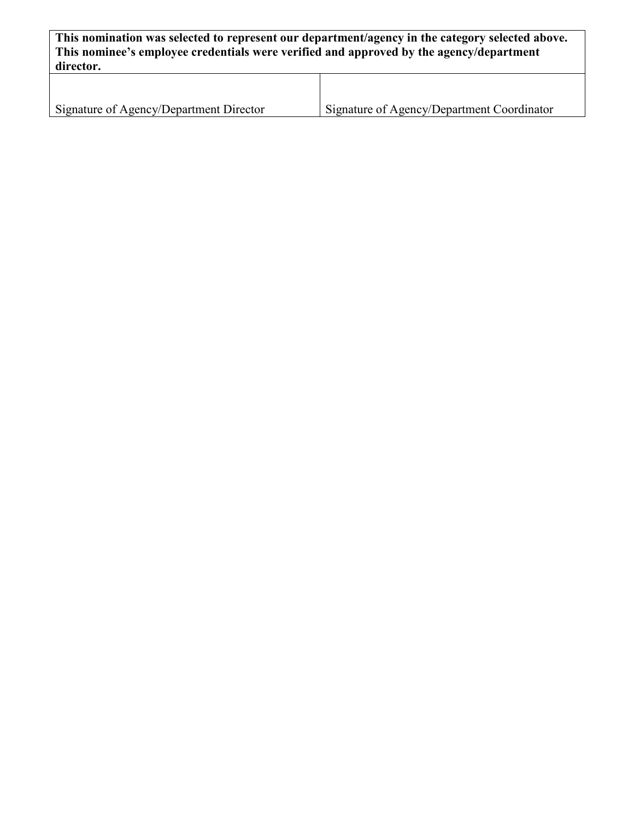**This nomination was selected to represent our department/agency in the category selected above. This nominee's employee credentials were verified and approved by the agency/department director.** T

| Signature of Agency/Department Director | Signature of Agency/Department Coordinator |
|-----------------------------------------|--------------------------------------------|